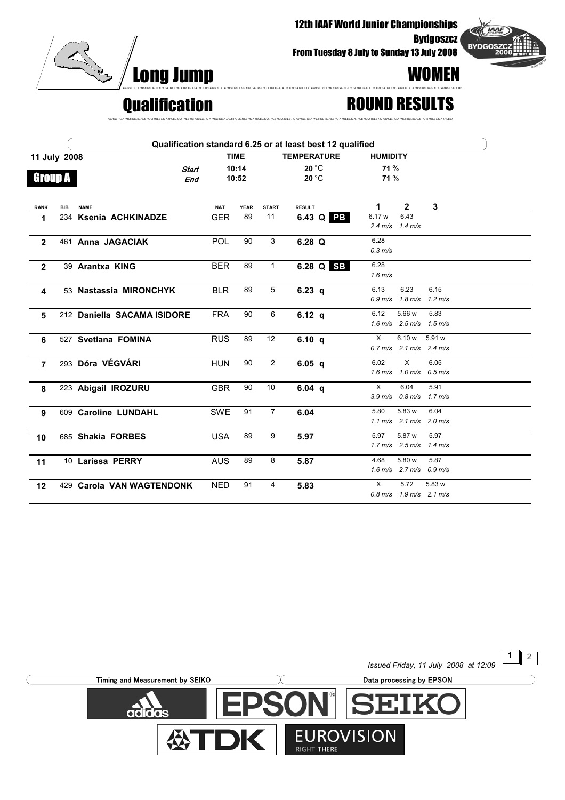

12th IAAF World Junior Championships

From Tuesday 8 July to Sunday 13 July 2008



1  $\sqrt{2}$ 

## Qualification ROUND RESULTS

|                |     | Qualification standard 6.25 or at least best 12 qualified |             |            |             |                    |                   |  |                     |                                                       |        |  |
|----------------|-----|-----------------------------------------------------------|-------------|------------|-------------|--------------------|-------------------|--|---------------------|-------------------------------------------------------|--------|--|
| 11 July 2008   |     |                                                           | <b>TIME</b> |            |             | <b>TEMPERATURE</b> |                   |  | <b>HUMIDITY</b>     |                                                       |        |  |
|                |     |                                                           | Start       |            | 10:14       |                    | $20^{\circ}$ C    |  | 71%                 |                                                       |        |  |
| <b>Group A</b> |     |                                                           | End         |            | 10:52       |                    | 20 °C             |  | 71 %                |                                                       |        |  |
|                |     |                                                           |             |            |             |                    |                   |  |                     |                                                       |        |  |
| <b>RANK</b>    | BIB | <b>NAME</b>                                               |             | <b>NAT</b> | <b>YEAR</b> | <b>START</b>       | <b>RESULT</b>     |  | 1                   | $\mathbf{2}$                                          | 3      |  |
| 1              |     | 234 Ksenia ACHKINADZE                                     |             | <b>GER</b> | 89          | 11                 | 6.43 Q PB         |  | 6.17 w              | 6.43                                                  |        |  |
|                |     |                                                           |             |            |             |                    |                   |  |                     | $2.4 \text{ m/s}$ $1.4 \text{ m/s}$                   |        |  |
| $\overline{2}$ |     | 461 Anna JAGACIAK                                         |             | <b>POL</b> | 90          | 3                  | 6.28 Q            |  | 6.28                |                                                       |        |  |
|                |     |                                                           |             |            |             |                    |                   |  | $0.3 \, \text{m/s}$ |                                                       |        |  |
| $\overline{2}$ |     | 39 Arantxa KING                                           |             | <b>BER</b> | 89          | 1                  | 6.28 Q SB         |  | 6.28                |                                                       |        |  |
|                |     |                                                           |             |            |             |                    |                   |  | $1.6 \text{ m/s}$   |                                                       |        |  |
| 4              |     | 53 Nastassia MIRONCHYK                                    |             | <b>BLR</b> | 89          | 5                  | 6.23 $q$          |  | 6.13                | 6.23                                                  | 6.15   |  |
|                |     |                                                           |             |            |             |                    |                   |  |                     | $0.9 \text{ m/s}$ 1.8 m/s 1.2 m/s                     |        |  |
| 5              |     | 212 Daniella SACAMA ISIDORE                               |             | <b>FRA</b> | 90          | 6                  | 6.12 $q$          |  | 6.12                | 5.66 w                                                | 5.83   |  |
|                |     |                                                           |             |            |             |                    |                   |  |                     | $1.6 \text{ m/s}$ $2.5 \text{ m/s}$ $1.5 \text{ m/s}$ |        |  |
| 6              |     | 527 Svetlana FOMINA                                       |             | <b>RUS</b> | 89          | 12                 | 6.10 $q$          |  | X                   | 6.10 w                                                | 5.91 w |  |
|                |     |                                                           |             |            |             |                    |                   |  |                     | $0.7 \text{ m/s}$ 2.1 m/s 2.4 m/s                     |        |  |
| $\overline{7}$ |     | 293 Dóra VÉGVÁRI                                          |             | <b>HUN</b> | 90          | $\overline{2}$     | 6.05 <sub>q</sub> |  | 6.02                | $\times$                                              | 6.05   |  |
|                |     |                                                           |             |            |             |                    |                   |  |                     | $1.6 \text{ m/s}$ $1.0 \text{ m/s}$ $0.5 \text{ m/s}$ |        |  |
| 8              |     | 223 Abigail IROZURU                                       |             | <b>GBR</b> | 90          | 10                 | 6.04 $q$          |  | $\times$            | 6.04                                                  | 5.91   |  |
|                |     |                                                           |             |            |             |                    |                   |  |                     | $3.9 \text{ m/s}$ 0.8 m/s 1.7 m/s                     |        |  |
| 9              |     | 609 Caroline LUNDAHL                                      |             | SWE        | 91          | $\overline{7}$     | 6.04              |  | 5.80                | 5.83 w                                                | 6.04   |  |
|                |     |                                                           |             |            |             |                    |                   |  |                     | $1.1 \text{ m/s}$ 2.1 m/s 2.0 m/s                     |        |  |
| 10             |     | 685 Shakia FORBES                                         |             | <b>USA</b> | 89          | 9                  | 5.97              |  | 5.97                | 5.87 w                                                | 5.97   |  |
|                |     |                                                           |             |            |             |                    |                   |  |                     | $1.7 \text{ m/s}$ $2.5 \text{ m/s}$ $1.4 \text{ m/s}$ |        |  |
| 11             |     | 10 Larissa PERRY                                          |             | <b>AUS</b> | 89          | 8                  | 5.87              |  | 4.68                | 5.80 w                                                | 5.87   |  |
|                |     |                                                           |             |            |             |                    |                   |  |                     | $1.6 \text{ m/s}$ 2.7 m/s 0.9 m/s                     |        |  |
| 12             |     | 429 Carola VAN WAGTENDONK                                 |             | <b>NED</b> | 91          | 4                  | 5.83              |  | X                   | 5.72                                                  | 5.83 w |  |
|                |     |                                                           |             |            |             |                    |                   |  |                     | $0.8 \text{ m/s}$ 1.9 m/s 2.1 m/s                     |        |  |

*ATHLETIC ATHLETIC ATHLETIC ATHLETIC ATHLETIC ATHLETIC ATHLETIC ATHLETIC ATHLETIC ATHLETIC ATHLETIC ATHLETIC ATHLETIC ATHLETIC ATHLETIC ATHLETIC ATHLETIC ATHLETIC ATHLETIC ATHLETIC ATHLETIC ATHLETIC ATHLETIC ATHLETI*